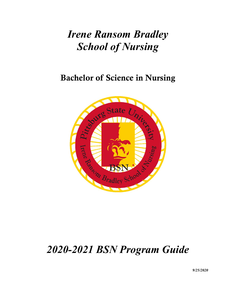# *Irene Ransom Bradley School of Nursing*

## Bachelor of Science in Nursing



## *2020-2021 BSN Program Guide*

*9/25/2020*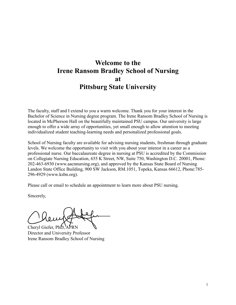## **Welcome to the Irene Ransom Bradley School of Nursing at Pittsburg State University**

The faculty, staff and I extend to you a warm welcome. Thank you for your interest in the Bachelor of Science in Nursing degree program. The Irene Ransom Bradley School of Nursing is located in McPherson Hall on the beautifully maintained PSU campus. Our university is large enough to offer a wide array of opportunities, yet small enough to allow attention to meeting individualized student teaching-learning needs and personalized professional goals.

School of Nursing faculty are available for advising nursing students, freshman through graduate levels. We welcome the opportunity to visit with you about your interest in a career as a professional nurse. Our baccalaureate degree in nursing at PSU is accredited by the Commission on Collegiate Nursing Education, 655 K Street, NW, Suite 750, Washington D.C. 20001, Phone: 202-463-6930 (www.aacnnursing.org), and approved by the Kansas State Board of Nursing Landon State Office Building, 900 SW Jackson, RM.1051, Topeka, Kansas 66612, Phone:785- 296-4929 (www.ksbn.org).

Please call or email to schedule an appointment to learn more about PSU nursing.

Sincerely,

Cheryl Giefer,  $PhD$ .

Director and University Professor Irene Ransom Bradley School of Nursing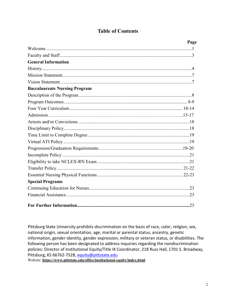## **Table of Contents**

| Page                                 |
|--------------------------------------|
|                                      |
|                                      |
| <b>General Information</b>           |
|                                      |
|                                      |
|                                      |
| <b>Baccalaureate Nursing Program</b> |
|                                      |
|                                      |
|                                      |
|                                      |
|                                      |
|                                      |
|                                      |
|                                      |
|                                      |
|                                      |
|                                      |
|                                      |
|                                      |
| <b>Special Programs</b>              |
|                                      |
|                                      |
|                                      |

Pittsburg State University prohibits discrimination on the basis of race, color, religion, sex, national origin, sexual orientation, age, marital or parental status, ancestry, genetic information, gender identity, gender expression, military or veteran status, or disabilities. The following person has been designated to address inquiries regarding the nondiscrimination policies: Director of Institutional Equity/Title IX Coordinator, 218 Russ Hall, 1701 S. Broadway, Pittsburg, KS 66762-7528, [equity@pittstate.edu](mailto:equity@pittstate.edu)

Website: **https://www.pittstate.edu/office/institutional-equity/index.html**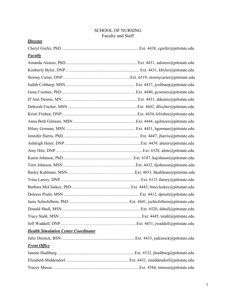## SCHOOL OF NURSING Faculty and Staff

| <b>Director</b>                             |  |
|---------------------------------------------|--|
|                                             |  |
| <b>Faculty</b>                              |  |
|                                             |  |
|                                             |  |
|                                             |  |
|                                             |  |
|                                             |  |
|                                             |  |
|                                             |  |
|                                             |  |
|                                             |  |
|                                             |  |
|                                             |  |
|                                             |  |
|                                             |  |
|                                             |  |
|                                             |  |
|                                             |  |
|                                             |  |
|                                             |  |
|                                             |  |
|                                             |  |
|                                             |  |
|                                             |  |
|                                             |  |
| <b>Health Simulation Center Coordinator</b> |  |
|                                             |  |
| <b>Front Office</b>                         |  |
|                                             |  |
|                                             |  |
|                                             |  |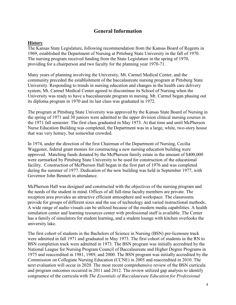## **General Information**

#### **History**

The Kansas State Legislature, following recommendation from the Kansas Board of Regents in 1969, established the Department of Nursing at Pittsburg State University in the fall of 1970. The nursing program received funding from the State Legislature in the spring of 1970, providing for a chairperson and two faculty for the planning year 1970-71.

Many years of planning involving the University, Mt. Carmel Medical Center, and the community preceded the establishment of the baccalaureate nursing program at Pittsburg State University. Responding to trends in nursing education and changes in the health care delivery system, Mt. Carmel Medical Center agreed to discontinue its School of Nursing when the University was ready to have a baccalaureate program in nursing. Mt. Carmel began phasing out its diploma program in 1970 and its last class was graduated in 1972.

The program at Pittsburg State University was approved by the Kansas State Board of Nursing in the spring of 1971 and 30 juniors were admitted to the upper division clinical nursing courses in the 1971 fall semester. The first class graduated in May 1973. At that time and until McPherson Nurse Education Building was completed, the Department was in a large, white, two-story house that was very homey, but somewhat crowded.

In 1974, under the direction of the first Chairman of the Department of Nursing, Cecilia Waggoner, federal grant monies for constructing a new nursing education building were approved. Matching funds donated by the McPherson family estate in the amount of \$400,000 were earmarked by Pittsburg State University to be used for construction of the educational facility. Construction of McPherson Hall began in the first part of 1976 and was completed during the summer of 1977. Dedication of the new building was held in September 1977, with Governor John Bennett in attendance.

McPherson Hall was designed and constructed with the objectives of the nursing program and the needs of the student in mind. Offices of all full-time faculty members are private. The reception area provides an attractive efficient atmosphere and workspace. The classrooms provide for groups of different sizes and the use of technology and varied instructional methods. A wide range of audio-visuals can be utilized because of the modern media capabilities. A health simulation center and learning resources center with professional staff is available. The Center has a family of simulators for student learning, and a student lounge with kitchen overlooks the university lake.

The first cohort of students in the Bachelors of Science in Nursing (BSN) pre-licensure track were admitted in fall 1971 and graduated in May 1973. The first cohort of students in the RN to BSN completion track were admitted in 1973. The BSN program was initially accredited by the National League for Nursing Program Council of Baccalaureate and Higher Degree Programs in 1975 and reaccredited in 1981, 1989, and 2000. The BSN program was initially accredited by the Commission on Collegiate Nursing Education (CCNE) in 2005 and reaccredited in 2010. The next evaluation will occur in 2020. The most recent comprehensive review of the BSN curricula and program outcomes occurred in 2011 and 2012. The review utilized gap analysis to identify congruence of the curricula with *The Essentials of Baccalaureate Education for Professional*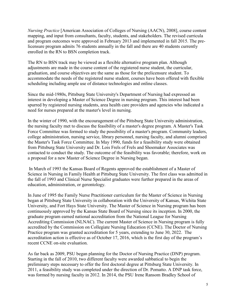*Nursing Practice* [American Association of Colleges of Nursing (AACN), 2008], course content mapping, and input from consultants, faculty, students, and stakeholders. The revised curricula and program outcomes were approved in February 2013 and implemented in fall 2015. The prelicensure program admits 76 students annually in the fall and there are 40 students currently enrolled in the RN to BSN completion track.

The RN to BSN track may be viewed as a flexible alternative program plan. Although adjustments are made in the course content of the registered nurse student, the curricular, graduation, and course objectives are the same as those for the prelicensure student. To accommodate the needs of the registered nurse student, courses have been offered with flexible scheduling including ample use of distance technologies and online classes.

Since the mid-1980s, Pittsburg State University's Department of Nursing had expressed an interest in developing a Master of Science Degree in nursing program. This interest had been spurred by registered nursing students, area health care providers and agencies who indicated a need for nurses prepared at the master's level in nursing.

In the winter of 1990, with the encouragement of the Pittsburg State University administration, the nursing faculty met to discuss the feasibility of a master's degree program. A Master's Task Force Committee was formed to study the possibility of a master's program. Community leaders, college administration, nursing service, library personnel, nursing faculty, and alumni comprised the Master's Task Force Committee. In May 1990, funds for a feasibility study were obtained from Pittsburg State University and Dr. Lois Frels of Frels and Shoemaker Associates was contacted to conduct the study. The outcome of the feasibility was favorable; therefore, work on a proposal for a new Master of Science Degree in Nursing began.

In March of 1993 the Kansas Board of Regents approved the establishment of a Master of Science in Nursing in Family Health at Pittsburg State University. The first class was admitted in the fall of 1993 and Clinical Nurse Specialist graduates were further prepared in the areas of education, administration, or gerontology.

In June of 1995 the Family Nurse Practitioner curriculum for the Master of Science in Nursing began at Pittsburg State University in collaboration with the University of Kansas, Wichita State University, and Fort Hays State University. The Master of Science in Nursing program has been continuously approved by the Kansas State Board of Nursing since its inception. In 2000, the graduate program earned national accreditation from the National League for Nursing Accrediting Commission (NLNAC). The current Master of Science in Nursing program is fully accredited by the Commission on Collegiate Nursing Education (CCNE). The Doctor of Nursing Practice program was granted accreditation for 5 years, extending to June 30, 2022. The accreditation action is effective as of October 17, 2016, which is the first day of the program's recent CCNE on-site evaluation.

As far back as 2009, PSU began planning for the Doctor of Nursing Practice (DNP) program. Starting in the fall of 2010, two different faculty were awarded sabbatical to begin the preliminary steps necessary to offer the first doctoral degree at Pittsburg State University. In 2011, a feasibility study was completed under the direction of Dr. Pomatto. A DNP task force, was formed by nursing faculty in 2012. In 2014, the PSU Irene Ransom Bradley School of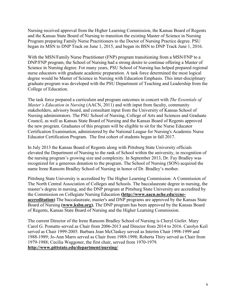Nursing received approval from the Higher Learning Commission, the Kansas Board of Regents and the Kansas State Board of Nursing to transition the existing Master of Science in Nursing Program preparing Family Nurse Practitioners to the Doctor of Nursing Practice degree. PSU began its MSN to DNP Track on June 1, 2015, and began its BSN to DNP Track June 1, 2016.

With the MSN/Family Nurse Practitioner (FNP) program transitioning from a MSN/FNP to a DNP/FNP program, the School of Nursing had a strong desire to continue offering a Master of Science in Nursing degree. For many years, PSU School of Nursing has helped prepared regional nurse educators with graduate academic preparation. A task force determined the most logical degree would be Master of Science in Nursing with Education Emphasis. This inter-disciplinary graduate program was developed with the PSU Department of Teaching and Leadership from the College of Education.

The task force prepared a curriculum and program outcomes in concert with *The Essentials of Master's Education in Nursing* (AACN, 2011) and with input from faculty, community stakeholders, advisory board, and consultant input from the University of Kansas School of Nursing administrators. The PSU School of Nursing, College of Arts and Sciences and Graduate Council, as well as Kansas State Board of Nursing and the Kansas Board of Regents approved the new program. Graduates of this program will be eligible to sit for the Nurse Educator Certification Examination, administered by the National League for Nursing's Academic Nurse Educator Certification Program. The first cohort of students began in fall 2017.

In July 2013 the Kansas Board of Regents along with Pittsburg State University officials elevated the Department of Nursing to the rank of School within the university, in recognition of the nursing program's growing size and complexity. In September 2013, Dr. Fay Bradley was recognized for a generous donation to the program. The School of Nursing (SON) acquired the name Irene Ransom Bradley School of Nursing in honor of Dr. Bradley's mother.

Pittsburg State University is accredited by The Higher Learning Commission: A Commission of The North Central Association of Colleges and Schools. The baccalaureate degree in nursing, the master's degree in nursing, and the DNP program at Pittsburg State University are accredited by the Commission on Collegiate Nursing Education **[\(http://www.aacn.nche.edu/ccne](http://www.aacn.nche.edu/ccne-accreditation)[accreditation\)](http://www.aacn.nche.edu/ccne-accreditation)** The baccalaureate, master's and DNP programs are approved by the Kansas State Board of Nursing **[\(www.ksbn.org\)](http://www.ksbn.org/).** The DNP program has been approved by the Kansas Board of Regents, Kansas State Board of Nursing and the Higher Learning Commission.

The current Director of the Irene Ransom Bradley School of Nursing is Cheryl Giefer. Mary Carol G. Pomatto served as Chair from 2006-2013 and Director from 2014 to 2016. Carolyn Keil served as Chair 1999-2005. Barbara Jean McClaskey served as Interim Chair 1998-1999 and 1988-1989; Jo-Ann Marrs served as Chair from 1989-1998; Roberta Thiry served as Chair from 1979-1988; Cecilia Waggoner, the first chair, served from 1970-1979. **<http://www.pittstate.edu/department/nursing/>**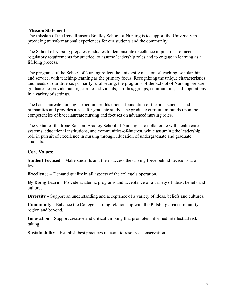#### **Mission Statement**

The **mission** of the Irene Ransom Bradley School of Nursing is to support the University in providing transformational experiences for our students and the community.

The School of Nursing prepares graduates to demonstrate excellence in practice, to meet regulatory requirements for practice, to assume leadership roles and to engage in learning as a lifelong process.

The programs of the School of Nursing reflect the university mission of teaching, scholarship and service, with teaching-learning as the primary focus. Recognizing the unique characteristics and needs of our diverse, primarily rural setting, the programs of the School of Nursing prepare graduates to provide nursing care to individuals, families, groups, communities, and populations in a variety of settings.

The baccalaureate nursing curriculum builds upon a foundation of the arts, sciences and humanities and provides a base for graduate study. The graduate curriculum builds upon the competencies of baccalaureate nursing and focuses on advanced nursing roles.

The **vision** of the Irene Ransom Bradley School of Nursing is to collaborate with health care systems, educational institutions, and communities-of-interest, while assuming the leadership role in pursuit of excellence in nursing through education of undergraduate and graduate students.

#### **Core Values:**

**Student Focused –** Make students and their success the driving force behind decisions at all levels.

**Excellence –** Demand quality in all aspects of the college's operation.

**By Doing Learn –** Provide academic programs and acceptance of a variety of ideas, beliefs and cultures.

**Diversity –** Support an understanding and acceptance of a variety of ideas, beliefs and cultures.

**Community –** Enhance the College's strong relationship with the Pittsburg area community, region and beyond.

**Innovation –** Support creative and critical thinking that promotes informed intellectual risk taking.

**Sustainability –** Establish best practices relevant to resource conservation.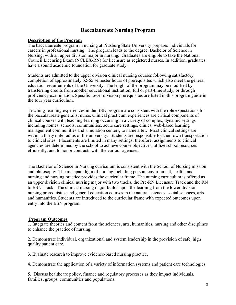## **Baccalaureate Nursing Program**

#### **Description of the Program**

The baccalaureate program in nursing at Pittsburg State University prepares individuals for careers in professional nursing. The program leads to the degree, Bachelor of Science in Nursing, with an upper division major in nursing. Graduates are eligible to take the National Council Licensing Exam (NCLEX-RN) for licensure as registered nurses. In addition, graduates have a sound academic foundation for graduate study.

Students are admitted to the upper division clinical nursing courses following satisfactory completion of approximately 62-65 semester hours of prerequisites which also meet the general education requirements of the University. The length of the program may be modified by transferring credits from another educational institution, full or part-time study, or through proficiency examination. Specific lower division prerequisites are listed in this program guide in the four year curriculum.

Teaching-learning experiences in the BSN program are consistent with the role expectations for the baccalaureate generalist nurse. Clinical practicum experiences are critical components of clinical courses with teaching-learning occurring in a variety of complex, dynamic settings including homes, schools, communities, acute care settings, clinics, web-based learning management communities and simulation centers, to name a few. Most clinical settings are within a thirty mile radius of the university. Students are responsible for their own transportation to clinical sites. Placements are limited in many settings; therefore, assignments to clinical agencies are determined by the school to achieve course objectives, utilize school resources efficiently, and to honor contracts with the various agencies.

The Bachelor of Science in Nursing curriculum is consistent with the School of Nursing mission and philosophy. The metaparadigm of nursing including person, environment, health, and nursing and nursing practice provides the curricular frame. The nursing curriculum is offered as an upper division clinical nursing major with two tracks, the Pre-RN Licensure Track and the RN to BSN Track. The clinical nursing major builds upon the learning from the lower division nursing prerequisites and general education courses in the natural sciences, social sciences, arts and humanities. Students are introduced to the curricular frame with expected outcomes upon entry into the BSN program.

## **Program Outcomes**

1. Integrate theories and content from the sciences, arts, humanities, nursing and other disciplines to enhance the practice of nursing.

2. Demonstrate individual, organizational and system leadership in the provision of safe, high quality patient care.

3. Evaluate research to improve evidence-based nursing practice.

4. Demonstrate the application of a variety of information systems and patient care technologies.

5. Discuss healthcare policy, finance and regulatory processes as they impact individuals, families, groups, communities and populations.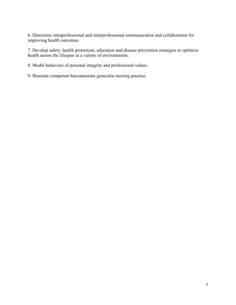6. Determine intraprofessional and interprofessional communication and collaboration for improving health outcomes.

7. Develop safety, health promotion, education and disease prevention strategies to optimize health across the lifespan in a variety of environments.

8. Model behaviors of personal integrity and professional values.

9. Illustrate competent baccalaureate generalist nursing practice.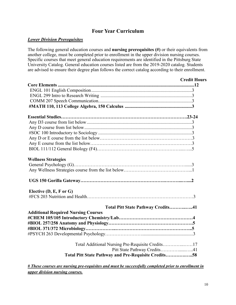## **Four Year Curriculum**

## *Lower Division Prerequisites*

The following general education courses and **nursing prerequisites (#)** or their equivalents from another college, must be completed prior to enrollment in the upper division nursing courses. Specific courses that meet general education requirements are identified in the Pittsburg State University Catalog. General education courses listed are from the 2019-2020 catalog. Students are advised to ensure their degree plan follows the correct catalog according to their enrollment.

|                                                      | <b>Credit Hours</b> |
|------------------------------------------------------|---------------------|
|                                                      |                     |
|                                                      |                     |
|                                                      |                     |
|                                                      |                     |
|                                                      |                     |
|                                                      |                     |
|                                                      |                     |
|                                                      |                     |
|                                                      |                     |
|                                                      |                     |
|                                                      |                     |
|                                                      |                     |
| <b>Wellness Strategies</b>                           |                     |
|                                                      |                     |
|                                                      |                     |
|                                                      |                     |
| Elective $(D, E, F \text{ or } G)$                   |                     |
|                                                      |                     |
| Total Pitt State Pathway Credits41                   |                     |
| <b>Additional Required Nursing Courses</b>           |                     |
|                                                      |                     |
|                                                      |                     |
|                                                      |                     |
|                                                      |                     |
| Total Additional Nursing Pre-Requisite Credits17     |                     |
| Pitt State Pathway Credits41                         |                     |
| Total Pitt State Pathway and Pre-Requisite Credits58 |                     |
|                                                      |                     |

*# These courses are nursing pre-requisites and must be successfully completed prior to enrollment in upper division nursing courses.*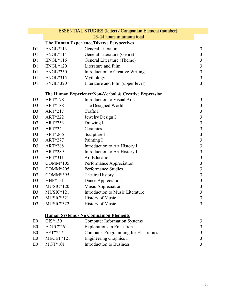|                |                 | <b>ESSENTIAL STUDIES (letter) / Companion Element (number)</b>   |                         |
|----------------|-----------------|------------------------------------------------------------------|-------------------------|
|                |                 | 23-24 hours minimum total                                        |                         |
|                |                 | <b>The Human Experience/Diverse Perspectives</b>                 |                         |
| D1             | ENGL*113        | General Literature                                               | 3                       |
| D1             | $ENGL*114$      | General Literature (Genre)                                       | $\sqrt{3}$              |
| D <sub>1</sub> | ENGL*116        | General Literature (Theme)                                       | $\mathfrak{Z}$          |
| D1             | <b>ENGL*120</b> | Literature and Film                                              | $\overline{3}$          |
| D1             | $ENGL*250$      | Introduction to Creative Writing                                 | $\overline{3}$          |
| D1             | ENGL*315        | Mythology                                                        | $\overline{3}$          |
| D1             | <b>ENGL*320</b> | Literature and Film (upper level)                                | $\overline{3}$          |
|                |                 |                                                                  |                         |
|                |                 | <b>The Human Experience/Non-Verbal &amp; Creative Expression</b> |                         |
| D <sub>3</sub> | ART*178         | Introduction to Visual Arts                                      | 3                       |
| D <sub>3</sub> | ART*188         | The Designed World                                               | $\mathfrak{Z}$          |
| D <sub>3</sub> | ART*217         | Crafts I                                                         | $\frac{3}{3}$           |
| D <sub>3</sub> | ART*222         | Jewelry Design I                                                 |                         |
| D <sub>3</sub> | ART*233         | Drawing I                                                        | $\frac{3}{3}$           |
| D <sub>3</sub> | ART*244         | Ceramics I                                                       |                         |
| D <sub>3</sub> | ART*266         | Sculpture I                                                      | $\overline{\mathbf{3}}$ |
| D <sub>3</sub> | ART*277         | Painting I                                                       | $\overline{\mathbf{3}}$ |
| D <sub>3</sub> | ART*288         | Introduction to Art History I                                    | $\frac{3}{3}$           |
| D <sub>3</sub> | ART*289         | Introduction to Art History II                                   |                         |
| D <sub>3</sub> | ART*311         | <b>Art Education</b>                                             | $\frac{3}{3}$           |
| D <sub>3</sub> | COMM*105        | Performance Appreciation                                         |                         |
| D <sub>3</sub> | COMM*205        | <b>Performance Studies</b>                                       | $\frac{3}{3}$           |
| D <sub>3</sub> | COMM*395        | Theatre History                                                  |                         |
| D <sub>3</sub> | HHP*151         | Dance Appreciation                                               | $\overline{\mathbf{3}}$ |
| D <sub>3</sub> | $MUSIC*120$     | Music Appreciation                                               | $\overline{\mathbf{3}}$ |
| D <sub>3</sub> | $MUSIC*121$     | Introduction to Music Literature                                 | $\overline{3}$          |
| D <sub>3</sub> | MUSIC*321       | <b>History of Music</b>                                          | $\overline{3}$          |
| D <sub>3</sub> | MUSIC*322       | <b>History of Music</b>                                          | 3                       |
|                |                 |                                                                  |                         |
|                |                 | <b>Human Systems / No Companion Elements</b>                     |                         |
| E <sub>0</sub> | $CIS*130$       | <b>Computer Information Systems</b>                              | 3                       |
| E <sub>0</sub> | $EDUC*261$      | <b>Explorations in Education</b>                                 | 3                       |
| E <sub>0</sub> | EET*247         | <b>Computer Programming for Electronics</b>                      | $\mathfrak{Z}$          |
| E <sub>0</sub> | MECET*121       | <b>Engineering Graphics I</b>                                    | $\overline{\mathbf{3}}$ |
| E <sub>0</sub> | MGT*101         | Introduction to Business                                         | 3                       |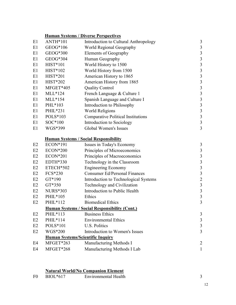| <b>ANTH*101</b> | Introduction to Cultural Anthropology     | 3                                                                                                                                                                                                                                                                                                                                                                  |
|-----------------|-------------------------------------------|--------------------------------------------------------------------------------------------------------------------------------------------------------------------------------------------------------------------------------------------------------------------------------------------------------------------------------------------------------------------|
| GEOG*106        | World Regional Geography                  | 3                                                                                                                                                                                                                                                                                                                                                                  |
| GEOG*300        | <b>Elements of Geography</b>              | 3                                                                                                                                                                                                                                                                                                                                                                  |
| GEOG*304        | Human Geography                           | 3                                                                                                                                                                                                                                                                                                                                                                  |
| <b>HIST*101</b> | World History to 1500                     | 3                                                                                                                                                                                                                                                                                                                                                                  |
| HIST*102        | World History from 1500                   | 3                                                                                                                                                                                                                                                                                                                                                                  |
| <b>HIST*201</b> | American History to 1865                  | 3                                                                                                                                                                                                                                                                                                                                                                  |
| $HIST*202$      | American History from 1865                | 3                                                                                                                                                                                                                                                                                                                                                                  |
| MFGET*405       | <b>Quality Control</b>                    | 3                                                                                                                                                                                                                                                                                                                                                                  |
| $MLL*124$       | French Language & Culture 1               | 3                                                                                                                                                                                                                                                                                                                                                                  |
| $MLL*154$       | Spanish Language and Culture I            | 3                                                                                                                                                                                                                                                                                                                                                                  |
| PHL*103         | Introduction to Philosophy                | 3                                                                                                                                                                                                                                                                                                                                                                  |
| PHIL*231        | <b>World Religions</b>                    | 3                                                                                                                                                                                                                                                                                                                                                                  |
| POLS*103        | <b>Comparative Political Institutions</b> | 3                                                                                                                                                                                                                                                                                                                                                                  |
| $SOC*100$       | Introduction to Sociology                 | 3                                                                                                                                                                                                                                                                                                                                                                  |
| WGS*399         | Global Women's Issues                     | 3                                                                                                                                                                                                                                                                                                                                                                  |
|                 |                                           |                                                                                                                                                                                                                                                                                                                                                                    |
| ECON*191        |                                           | 3                                                                                                                                                                                                                                                                                                                                                                  |
| $ECON*200$      |                                           | 3                                                                                                                                                                                                                                                                                                                                                                  |
| <b>ECON*201</b> |                                           | 3                                                                                                                                                                                                                                                                                                                                                                  |
| EDTH*330        | Technology in the Classroom               | $\overline{\mathbf{3}}$                                                                                                                                                                                                                                                                                                                                            |
| ETECH*502       |                                           | 3                                                                                                                                                                                                                                                                                                                                                                  |
| FCS*230         | <b>Consumer Ed/Personal Finances</b>      | 3                                                                                                                                                                                                                                                                                                                                                                  |
| GT*190          |                                           | $\overline{c}$                                                                                                                                                                                                                                                                                                                                                     |
| GT*350          | Technology and Civilization               | $\overline{\mathbf{3}}$                                                                                                                                                                                                                                                                                                                                            |
| <b>NURS*303</b> | Introduction to Public Health             | 3                                                                                                                                                                                                                                                                                                                                                                  |
| PHIL*105        | Ethics                                    | 3                                                                                                                                                                                                                                                                                                                                                                  |
| PHIL*112        | <b>Biomedical Ethics</b>                  | 3                                                                                                                                                                                                                                                                                                                                                                  |
|                 |                                           |                                                                                                                                                                                                                                                                                                                                                                    |
| PHIL*113        | <b>Business Ethics</b>                    | 3                                                                                                                                                                                                                                                                                                                                                                  |
| PHIL*114        | <b>Environmental Ethics</b>               | 3                                                                                                                                                                                                                                                                                                                                                                  |
| POLS*101        | <b>U.S. Politics</b>                      | 3                                                                                                                                                                                                                                                                                                                                                                  |
| WGS*200         | Introduction to Women's Issues            | 3                                                                                                                                                                                                                                                                                                                                                                  |
|                 |                                           |                                                                                                                                                                                                                                                                                                                                                                    |
| MFGET*263       | Manufacturing Methods I                   | 2                                                                                                                                                                                                                                                                                                                                                                  |
| MFGET*268       | Manufacturing Methods I Lab               | 1                                                                                                                                                                                                                                                                                                                                                                  |
|                 |                                           | <b>Human Systems / Diverse Perspectives</b><br><b>Human Systems / Social Responsibility</b><br>Issues in Today's Economy<br>Principles of Microeconomics<br>Principles of Macroeconomics<br><b>Engineering Economy</b><br>Introduction to Technological Systems<br><b>Human Systems / Social Responsibility (Cont.)</b><br><b>Human Systems/Scientific Inquiry</b> |

## **Natural World/No Companion Element**

| Environmental Health |
|----------------------|
|----------------------|

12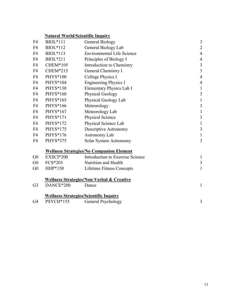## **Natural World/Scientific Inquiry**

| F <sub>4</sub> | <b>BIOL</b> *111 | <b>General Biology</b>                               | $\mathfrak{Z}$ |
|----------------|------------------|------------------------------------------------------|----------------|
| F <sub>4</sub> | BIOL*112         | General Biology Lab                                  | $\overline{2}$ |
| F <sub>4</sub> | BIOL*113         | <b>Environmental Life Science</b>                    | $\overline{4}$ |
| F <sub>4</sub> | <b>BIOL</b> *211 | Principles of Biology I                              | $\overline{4}$ |
| F <sub>4</sub> | <b>CHEM*105</b>  | Introduction to Chemistry                            | $\mathfrak{Z}$ |
| F <sub>4</sub> | CHEM*215         | General Chemistry I                                  | $\overline{3}$ |
| F <sub>4</sub> | PHYS*100         | College Physics I                                    | $\overline{4}$ |
| F <sub>4</sub> | PHYS*104         | <b>Engineering Physics I</b>                         | $\overline{4}$ |
| F <sub>4</sub> | PHYS*130         | Elementary Physics Lab I                             | $\mathbf{1}$   |
| F4             | PHYS*160         | Physical Geology                                     | 3              |
| F <sub>4</sub> | PHYS*165         | Physical Geology Lab                                 | $\mathbf{1}$   |
| F4             | PHYS*166         | Meteorology                                          | $\mathfrak{Z}$ |
| F <sub>4</sub> | PHYS*167         | Meteorology Lab                                      | $\mathbf{1}$   |
| F <sub>4</sub> | PHYS*171         | Physical Science                                     | $\mathfrak{Z}$ |
| F <sub>4</sub> | PHYS*172         | Physical Science Lab                                 | $\mathbf{1}$   |
| F <sub>4</sub> | PHYS*175         | Descriptive Astronomy                                | 3              |
| F <sub>4</sub> | PHYS*176         | Astronomy Lab                                        | $\mathbf{1}$   |
| F <sub>4</sub> | PHYS*375         | Solar System Astronomy                               | 3              |
|                |                  | <b>Wellness Strategies/No Companion Element</b>      |                |
| G <sub>0</sub> | EXSCI*200        | Introduction to Exercise Science                     | $\mathbf{1}$   |
| G <sub>0</sub> | FCS*203          | Nutrition and Health                                 | $\mathfrak{Z}$ |
| G <sub>0</sub> | HHP*150          | <b>Lifetime Fitness Concepts</b>                     | $\mathbf{1}$   |
|                |                  | <b>Wellness Strategies/Non-Verbal &amp; Creative</b> |                |
| G <sub>3</sub> | DANCE*200        | Dance                                                | $\mathbf{1}$   |
|                |                  | <b>Wellness Strategies/Scientific Inquiry</b>        |                |
| G4             | PSYCH*155        | General Psychology                                   | 3              |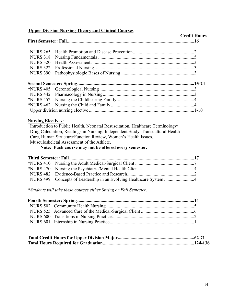## **Upper Division Nursing Theory and Clinical Courses**

|                  |  | <b>Credit Hours</b> |
|------------------|--|---------------------|
| <b>NURS 265</b>  |  |                     |
| <b>NURS 318</b>  |  |                     |
| <b>NURS 320</b>  |  |                     |
| <b>NURS 322</b>  |  |                     |
| <b>NURS 390</b>  |  |                     |
|                  |  |                     |
|                  |  |                     |
|                  |  |                     |
|                  |  |                     |
| <b>*NURS 462</b> |  |                     |
|                  |  |                     |

## N**ursing Electives:**

 Introduction to Public Health, Neonatal Resuscitation, Healthcare Terminology/ Drug Calculation, Readings in Nursing, Independent Study, Transcultural Health Care, Human Structure/Function Review, Women's Health Issues, Musculoskeletal Assessment of the Athlete.

## **Note: Each course may not be offered every semester.**

| NURS 499 Concepts of Leadership in an Evolving Healthcare System 4 |  |
|--------------------------------------------------------------------|--|

\**Students will take these courses either Spring or Fall Semester.*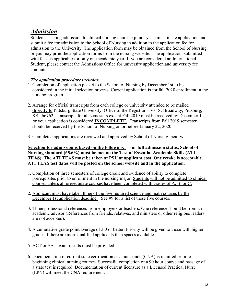## *Admission*

Students seeking admission to clinical nursing courses (junior year) must make application and submit a fee for admission to the School of Nursing in addition to the application fee for admission to the University. The application form may be obtained from the School of Nursing or you may print the application forms from the nursing website. The application, submitted with fees, is applicable for only one academic year. If you are considered an International Student, please contact the Admissions Office for university application and university fee amounts.

## *The application procedure includes:*

- 1. Completion of application packet to the School of Nursing by December 1st to be considered in the initial selection process. Current application is for fall 2020 enrollment in the nursing program.
- 2. Arrange for official transcripts from each college or university attended to be mailed **directly to** Pittsburg State University, Office of the Registrar, 1701 S. Broadway, Pittsburg, KS. 66762. Transcripts for all semesters <u>except Fall 2019</u> must be received by December 1st or your application is considered **INCOMPLETE.** Transcripts from Fall 2019 semester should be received by the School of Nursing on or before January 22, 2020.
- 3. Completed applications are reviewed and approved by School of Nursing faculty**.**

**Selection for admission is based on the following: For full admission status, School of Nursing standard (65.6%) must be met on the Test of Essential Academic Skills (ATI TEAS). The ATI TEAS must be taken at PSU at applicant cost. One retake is acceptable. ATI TEAS test dates will be posted on the school website and in the application**.

- 1. Completion of three semesters of college credit and evidence of ability to complete prerequisites prior to enrollment in the nursing major. Students will not be admitted to clinical courses unless all prerequisite courses have been completed with grades of A, B, or C.
- 2. Applicant must have taken three of the five required science and math courses by the December 1st application deadline. See #9 for a list of these five courses.
- 3. Three professional references from employers or teachers. One reference should be from an academic advisor (References from friends, relatives, and ministers or other religious leaders are not accepted).
- 4. A cumulative grade point average of 3.0 or better. Priority will be given to those with higher grades if there are more qualified applicants than spaces available.
- 5. ACT or SAT exam results must be provided.
- 6. Documentation of current state certification as a nurse aide (CNA) is required prior to beginning clinical nursing courses. Successful completion of a 90 hour course and passage of a state test is required. Documentation of current licensure as a Licensed Practical Nurse (LPN) will meet the CNA requirement.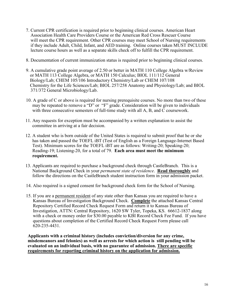- 7. Current CPR certification is required prior to beginning clinical courses. American Heart Association Health Care Providers Course or the American Red Cross Rescuer Course will meet the CPR requirement. Other CPR courses may meet School of Nursing requirements if they include Adult, Child, Infant, and AED training. Online courses taken MUST INCLUDE lecture course hours as well as a separate skills check off to fulfill the CPR requirement.
- 8. Documentation of current immunization status is required prior to beginning clinical courses.
- 9. A cumulative grade point average of 2.50 or better in MATH 110 College Algebra w/Review or MATH 113 College Algebra, or MATH 150 Calculus; BIOL 111/112 General Biology/Lab; CHEM 105/106 Introductory Chemistry/Lab or CHEM 107/108 Chemistry for the Life Sciences/Lab; BIOL 257/258 Anatomy and Physiology/Lab; and BIOL 371/372 General Microbiology/Lab.
- 10. A grade of C or above is required for nursing prerequisite courses. No more than two of these may be repeated to remove a "D" or "F" grade. Consideration will be given to individuals with three consecutive semesters of full-time study with all A, B, and C coursework.
- 11. Any requests for exception must be accompanied by a written explanation to assist the committee in arriving at a fair decision.
- 12. A student who is born outside of the United States is required to submit proof that he or she has taken and passed the TOEFL iBT (Test of English as a Foreign Language-Internet Based Test). Minimum scores for the TOEFL iBT are as follows: Writing-20; Speaking-20; Reading-19; Listening-20, for a total of 79. **Each area must meet the minimum requirement.**
- 13. Applicants are required to purchase a background check through CastleBranch. This is a National Background Check in your *permanent state of residence*. **Read thoroughly** and follow the directions on the CastleBranch student instruction form in your admission packet.
- 14. Also required is a signed consent for background check form for the School of Nursing.
- 15. If you are a permanent resident of any state other than Kansas you are required to have a Kansas Bureau of Investigation Background Check. **Complete** the attached Kansas Central Repository Certified Record Check Request Form and return it to Kansas Bureau of Investigation, ATTN: Central Repository, 1620 SW Tyler, Topeka, KS. 66612-1837 along with a check or money order for \$30.00 payable to KBI Record Check Fee Fund. If you have questions about completion of the Certified Record Check Request Form please call 620-235-4431.

**Applicants with a criminal history (includes conviction/diversion for any crime, misdemeanors and felonies) as well as arrests for which action is still pending will be evaluated on an individual basis, with no guarantee of admission. There are specific requirements for reporting criminal history on the application for admission.**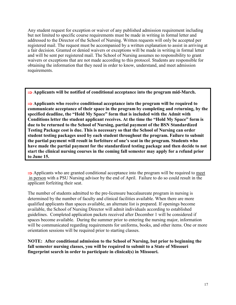Any student request for exception or waiver of any published admission requirement including but not limited to specific course requirements must be made in writing in formal letter and addressed to the Director of the School of Nursing. Written requests will only be accepted per registered mail. The request must be accompanied by a written explanation to assist in arriving at a fair decision. Granted or denied waivers or exceptions will be made in writing in formal letter and will be sent per registered mail. The School of Nursing assumes no responsibility to grant waivers or exceptions that are not made according to this protocol. Students are responsible for obtaining the information that they need in order to know, understand, and meet admission requirements.

⇒ **Applicants will be notified of conditional acceptance into the program mid-March.**

⇒ **Applicants who receive conditional acceptance into the program will be required to communicate acceptance of their space in the program by completing and returning, by the specified deadline, the "Hold My Space" form that is included with the Admit with Conditions letter the student applicant receives. At the time the "Hold My Space" form is due to be returned to the School of Nursing, partial payment of the BSN Standardized Testing Package cost is due. This is necessary so that the School of Nursing can order student testing packages used by each student throughout the program. Failure to submit the partial payment will result in forfeiture of one's seat in the program. Students who have made the partial payment for the standardized testing package and then decide to not start the clinical nursing courses in the coming fall semester may apply for a refund prior to June 15.**

 $\Rightarrow$  Applicants who are granted conditional acceptance into the program will be required to meet in person with a PSU Nursing advisor by the end of April. Failure to do so could result in the applicant forfeiting their seat.

The number of students admitted to the pre-licensure baccalaureate program in nursing is determined by the number of faculty and clinical facilities available. When there are more qualified applicants than spaces available, an alternate list is prepared. If openings become available, the School of Nursing Director will admit individuals according to established guidelines. Completed application packets received after December 1 will be considered if spaces become available. During the summer prior to entering the nursing major, information will be communicated regarding requirements for uniforms, books, and other items. One or more orientation sessions will be required prior to starting classes.

**NOTE: After conditional admission to the School of Nursing, but prior to beginning the fall semester nursing classes, you will be required to submit to a State of Missouri fingerprint search in order to participate in clinical(s) in Missouri.**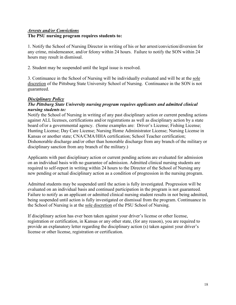## *Arrests and/or Convictions* **The PSU nursing program requires students to:**

1. Notify the School of Nursing Director in writing of his or her arrest/conviction/diversion for any crime, misdemeanor, and/or felony within 24 hours. Failure to notify the SON within 24 hours may result in dismissal.

2. Student may be suspended until the legal issue is resolved.

3. Continuance in the School of Nursing will be individually evaluated and will be at the sole discretion of the Pittsburg State University School of Nursing. Continuance in the SON is not guaranteed.

## *Disciplinary Policy*

## *The Pittsburg State University nursing program requires applicants and admitted clinical nursing students to:*

Notify the School of Nursing in writing of any past disciplinary action or current pending actions against ALL licenses, certifications and/or registrations as well as disciplinary action by a state board of/or a governmental agency. (Some examples are: Driver's License; Fishing License; Hunting License; Day Care License; Nursing Home Administrator License; Nursing License in Kansas or another state; CNA/CMA/HHA certification; School Teacher certification; Dishonorable discharge and/or other than honorable discharge from any branch of the military or disciplinary sanction from any branch of the military.)

Applicants with past disciplinary action or current pending actions are evaluated for admission on an individual basis with no guarantee of admission. Admitted clinical nursing students are required to self-report in writing within 24 hours to the Director of the School of Nursing any new pending or actual disciplinary action as a condition of progression in the nursing program.

Admitted students may be suspended until the action is fully investigated. Progression will be evaluated on an individual basis and continued participation in the program is not guaranteed. Failure to notify as an applicant or admitted clinical nursing student results in not being admitted, being suspended until action is fully investigated or dismissal from the program. Continuance in the School of Nursing is at the sole discretion of the PSU School of Nursing.

If disciplinary action has ever been taken against your driver's license or other license, registration or certification, in Kansas or any other state, (for any reason), you are required to provide an explanatory letter regarding the disciplinary action (s) taken against your driver's license or other license, registration or certification.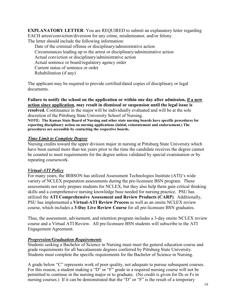**EXPLANATORY LETTER**: You are REQUIRED to submit an explanatory letter regarding EACH arrest/conviction/diversion for any crime, misdemeanor, and/or felony. The letter should include the following information:

Date of the criminal offense or disciplinary/administrative action Circumstances leading up to the arrest or disciplinary/administrative action Actual conviction or disciplinary/administrative action Actual sentence or board/regulatory agency order Current status of sentence or order Rehabilitation (if any)

The applicant may be required to provide certified/dated copies of disciplinary or legal documents.

**Failure to notify the school on the application or within one day after admission, if a new action since application, may result in dismissal or suspension until the legal issue is resolved.** Continuance in the major will be individually evaluated and will be at the sole discretion of the Pittsburg State University School of Nursing.

**NOTE: The Kansas State Board of Nursing and other state nursing boards have specific procedures for reporting disciplinary action on nursing applications (initial, reinstatement and endorsement.) The procedures are accessible by contacting the respective boards.**

## *Time Limit to Complete Degree*

Nursing credits toward the upper division major in nursing at Pittsburg State University which have been earned more than ten years prior to the time the candidate receives the degree cannot be counted to meet requirements for the degree unless validated by special examination or by repeating coursework.

## *Virtual-ATI Policy*

For many years, the IRBSON has utilized Assessment Technologies Institute (ATI)'s wide variety of NCLEX preparation assessments during the pre-licensure BSN program. These assessments not only prepare students for NCLEX, but they also help them gain critical thinking skills and a comprehensive nursing knowledge base needed for nursing practice. PSU has utilized the **ATI Comprehensive Assessment and Review Products (CARP)**. Additionally, PSU has implemented a **Virtual-ATI Review Process** as well as an onsite NCLEX review course, which includes a **3-Day Live Review Course** for all pre-licensure BSN graduates.

Thus, the assessment, advisement, and retention program includes a 3-day onsite NCLEX review course and a Virtual ATI Review. All pre-licensure BSN students will subscribe to the ATI Engagement Agreement.

## *Progression/Graduation Requirements*

Students seeking a Bachelor of Science in Nursing must meet the general education course and grade requirements for all baccalaureate degrees conferred by Pittsburg State University. Students must complete the specific requirements for the Bachelor of Science in Nursing.

A grade below "C" represents work of poor quality, not adequate to pursue subsequent courses. For this reason, a student making a "D" or "F" grade in a required nursing course will not be permitted to continue in the nursing major or to graduate. (No credit is given for Ds or Fs in nursing courses.) If it can be demonstrated that the "D" or "F" is the result of a temporary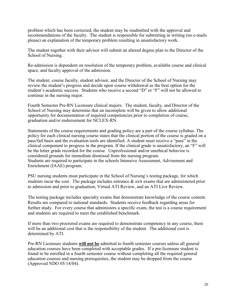problem which has been corrected, the student may be readmitted with the approval and recommendations of the faculty. The student is responsible for submitting in writing (no e-mails please) an explanation of the temporary problem resulting in unsatisfactory work.

The student together with their advisor will submit an altered degree plan to the Director of the School of Nursing.

Re-admission is dependent on resolution of the temporary problem, available course and clinical space, and faculty approval of the admission.

The student, course faculty, student advisor, and the Director of the School of Nursing may review the student's progress and decide upon course withdrawal as the best option for the student's academic success. Students who receive a second "D" or "F" will not be allowed to continue in the nursing major.

Fourth Semester Pre-RN Licensure clinical majors: The student, faculty, and Director of the School of Nursing may determine that an incomplete will be given to allow additional opportunity for documentation of required competencies prior to completion of course, graduation and/or endorsement for NCLEX-RN.

Statements of the course requirements and grading policy are a part of the course syllabus. The policy for each clinical nursing course states that the clinical portion of the course is graded on a pass/fail basis and the evaluation tools are identified. A student must receive a "pass" in the clinical component to progress in the program. If the clinical grade is unsatisfactory, an "F" will be the letter grade recorded for the course. Unprofessional and/or unethical behavior is considered grounds for immediate dismissal from the nursing program. Students are required to participate in the schools Intensive Assessment, Advisement and Enrichment (IAAE) program.

PSU nursing students must participate in the School of Nursing's testing package, for which students incur the cost. The package includes entrance & exit exams that are administered prior to admission and prior to graduation, Virtual ATI Review, and an ATI Live Review.

The testing package includes specialty exams that demonstrate knowledge of the course content. Results are compared to national standards. Students receive feedback regarding areas for further study. For every course that administers a specific exam, the test is a course requirement and students are required to meet the established benchmark.

If more than two proctored exams are required to demonstrate competency in any course, there will be an additional cost that is the responsibility of the student. The additional cost is determined by ATI.

Pre-RN Licensure students **will not be** admitted to fourth semester courses unless all general education courses have been completed with acceptable grades. If a pre-licensure student is found to be enrolled in a fourth semester course without completing all the required general education courses and nursing prerequisites, the student may be dropped from the course (Approved NDO 05/14/04).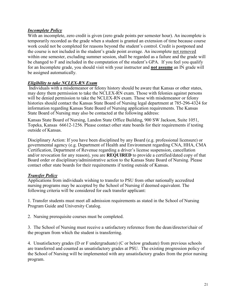## *Incomplete Policy*

With an incomplete, zero credit is given (zero grade points per semester hour). An incomplete is temporarily recorded as the grade when a student is granted an extension of time because course work could not be completed for reasons beyond the student's control. Credit is postponed and the course is not included in the student's grade point average. An incomplete not removed within one semester, excluding summer session, shall be regarded as a failure and the grade will be changed to F and included in the computation of the student's GPA. If you feel you qualify for an Incomplete grade, you should visit with your instructor and **not assume** an IN grade will be assigned automatically.

#### *Eligibility to take NCLEX-RN Exam*

Individuals with a misdemeanor or felony history should be aware that Kansas or other states, may deny them permission to take the NCLEX-RN exam. Those with felonies against persons will be denied permission to take the NCLEX-RN exam. Those with misdemeanor or felony histories should contact the Kansas State Board of Nursing legal department at 785-296-4324 for information regarding Kansas State Board of Nursing application requirements. The Kansas State Board of Nursing may also be contacted at the following address:

Kansas State Board of Nursing, Landon State Office Building, 900 SW Jackson, Suite 1051, Topeka, Kansas 66612-1256. Please contact other state boards for their requirements if testing outside of Kansas.

Disciplinary Action: If you have been disciplined by any Board (e.g. professional licensure) or governmental agency (e.g. Department of Health and Environment regarding CNA, HHA, CMA Certification, Department of Revenue regarding a driver's license suspension, cancellation and/or revocation for any reason), you are **REQUIRED** to provide a certified/dated copy of that Board order or disciplinary/administrative action to the Kansas State Board of Nursing. Please contact other state boards for their requirements if testing outside of Kansas.

## *Transfer Policy*

Applications from individuals wishing to transfer to PSU from other nationally accredited nursing programs may be accepted by the School of Nursing if deemed equivalent. The following criteria will be considered for each transfer applicant:

1. Transfer students must meet all admission requirements as stated in the School of Nursing Program Guide and University Catalog.

2. Nursing prerequisite courses must be completed.

3. The School of Nursing must receive a satisfactory reference from the dean/director/chair of the program from which the student is transferring.

4. Unsatisfactory grades (D or F undergraduate) (C or below graduate) from previous schools are transferred and counted as unsatisfactory grades at PSU. The existing progression policy of the School of Nursing will be implemented with any unsatisfactory grades from the prior nursing program.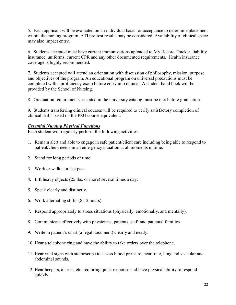5. Each applicant will be evaluated on an individual basis for acceptance to determine placement within the nursing program. ATI pre-test results may be considered. Availability of clinical space may also impact entry.

6. Students accepted must have current immunizations uploaded to My Record Tracker, liability insurance, uniforms, current CPR and any other documented requirements. Health insurance coverage is highly recommended.

7. Students accepted will attend an orientation with discussion of philosophy, mission, purpose and objectives of the program. An educational program on universal precautions must be completed with a proficiency exam before entry into clinical. A student hand book will be provided by the School of Nursing.

8. Graduation requirements as stated in the university catalog must be met before graduation.

9. Students transferring clinical courses will be required to verify satisfactory completion of clinical skills based on the PSU course equivalent.

## *Essential Nursing Physical Functions*

Each student will regularly perform the following activities:

- 1. Remain alert and able to engage in safe patient/client care including being able to respond to patient/client needs in an emergency situation at all moments in time.
- 2. Stand for long periods of time.
- 3. Work or walk at a fast pace.
- 4. Lift heavy objects (25 lbs. or more) several times a day.
- 5. Speak clearly and distinctly.
- 6. Work alternating shifts (8-12 hours).
- 7. Respond appropriately to stress situations (physically, emotionally, and mentally).
- 8. Communicate effectively with physicians, patients, staff and patients' families.
- 9. Write in patient's chart (a legal document) clearly and neatly.
- 10. Hear a telephone ring and have the ability to take orders over the telephone.
- 11. Hear vital signs with stethoscope to assess blood pressure, heart rate, lung and vascular and abdominal sounds.
- 12. Hear beepers, alarms, etc. requiring quick response and have physical ability to respond quickly.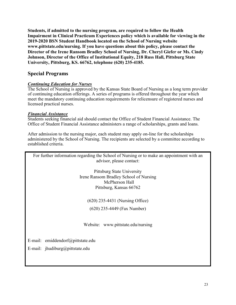**Students, if admitted to the nursing program, are required to follow the Health Impairment in Clinical Practicum Experiences policy which is available for viewing in the 2019-2020 BSN Student Handbook located on the School of Nursing website www.pittstate.edu/nursing. If you have questions about this policy, please contact the Director of the Irene Ransom Bradley School of Nursing, Dr. Cheryl Giefer or Ms. Cindy Johnson, Director of the Office of Institutional Equity, 218 Russ Hall, Pittsburg State University, Pittsburg, KS. 66762, telephone (620) 235-4185.**

## **Special Programs**

## *Continuing Education for Nurses*

The School of Nursing is approved by the Kansas State Board of Nursing as a long term provider of continuing education offerings. A series of programs is offered throughout the year which meet the mandatory continuing education requirements for relicensure of registered nurses and licensed practical nurses.

## *Financial Assistance*

Students seeking financial aid should contact the Office of Student Financial Assistance. The Office of Student Financial Assistance administers a range of scholarships, grants and loans.

After admission to the nursing major, each student may apply on-line for the scholarships administered by the School of Nursing. The recipients are selected by a committee according to established criteria.

For further information regarding the School of Nursing or to make an appointment with an advisor, please contact:

> Pittsburg State University Irene Ransom Bradley School of Nursing McPherson Hall Pittsburg, Kansas 66762

(620) 235-4431 (Nursing Office)

(620) 235-4449 (Fax Number)

Website: [www.pittstate.edu/nursi](http://www.pittstate.edu/nurs)ng

E-mail: emiddendorf@pittstate.edu

E-mail: [jhudiburg@pittstate.edu](mailto:jhudiburg@pittstate.edu)